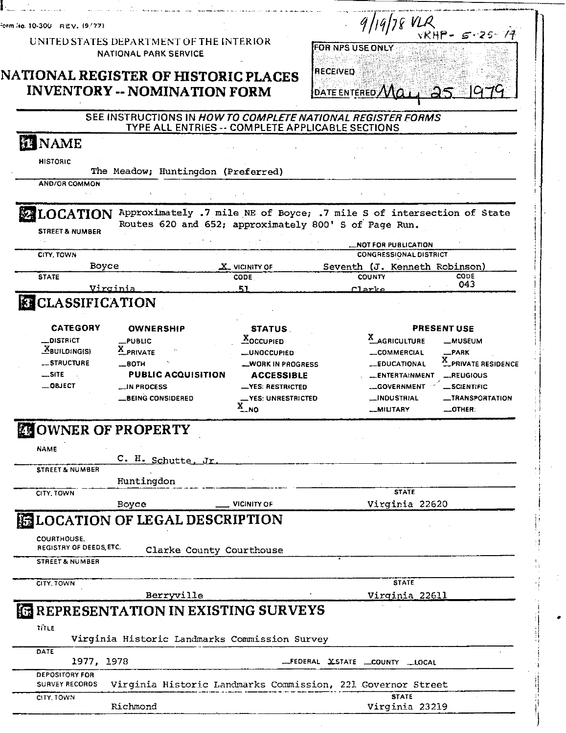| orm No. 10-300 REV. (9/77)          | UNITED STATES DEPARTMENT OF THE INTERIOR<br><b>NATIONAL PARK SERVICE</b> |                                       | $9119178$ VLR<br>FOR NPS USE ONLY                                                                                                       | $VKHP - 5 - 25 - 77$                       |
|-------------------------------------|--------------------------------------------------------------------------|---------------------------------------|-----------------------------------------------------------------------------------------------------------------------------------------|--------------------------------------------|
|                                     |                                                                          |                                       |                                                                                                                                         |                                            |
|                                     | <b>NATIONAL REGISTER OF HISTORIC PLACES</b>                              |                                       | RECEIVED                                                                                                                                |                                            |
|                                     | <b>INVENTORY -- NOMINATION FORM</b>                                      |                                       | DATE ENTERED $\mathcal{M}\alpha$                                                                                                        | 25 1979                                    |
|                                     | TYPE ALL ENTRIES -- COMPLETE APPLICABLE SECTIONS                         |                                       | SEE INSTRUCTIONS IN HOW TO COMPLETE NATIONAL REGISTER FORMS                                                                             |                                            |
| <b>ENAME</b>                        |                                                                          |                                       |                                                                                                                                         |                                            |
| <b>HISTORIC</b>                     | The Meadow; Huntingdon (Preferred)                                       |                                       |                                                                                                                                         |                                            |
| <b>AND/OR COMMON</b>                |                                                                          |                                       |                                                                                                                                         |                                            |
|                                     |                                                                          |                                       | LOCATION Approximately .7 mile NE of Boyce; .7 mile S of intersection of State<br>Routes 620 and 652; approximately 800' S of Page Run. |                                            |
| <b>STREET &amp; NUMBER</b>          |                                                                          |                                       |                                                                                                                                         |                                            |
| CITY, TOWN                          |                                                                          |                                       | <b>LINOT FOR PUBLICATION</b><br><b>CONGRESSIONAL DISTRICT</b>                                                                           |                                            |
|                                     | Boyce                                                                    | X VICINITY OF                         | Seventh (J. Kenneth Robinson)                                                                                                           |                                            |
| <b>STATE</b>                        |                                                                          | CODE.                                 | <b>COUNTY</b>                                                                                                                           | CODE<br>043                                |
| <b>ELASSIFICATION</b>               | Virginia                                                                 | 51                                    | Clarke                                                                                                                                  |                                            |
|                                     |                                                                          |                                       |                                                                                                                                         |                                            |
| <b>CATEGORY</b>                     | <b>OWNERSHIP</b>                                                         | <b>STATUS</b>                         | <b>PRESENT USE</b>                                                                                                                      |                                            |
| <b>_DISTRICT</b><br>$X$ BUILDING(S) | $L$ PUBLIC                                                               | <b>XOCCUPIED</b>                      | X_AGRICULTURE                                                                                                                           | -MUSEUM                                    |
|                                     | X PRIVATE                                                                | <b>__UNOCCUPIED</b>                   | <b>_COMMERCIAL</b>                                                                                                                      | $R$ ARK                                    |
| _STRUCTURE                          | $\_$ BOTH                                                                | <b>WORK IN PROGRESS</b>               | <b>EDUCATIONAL</b>                                                                                                                      | X_PRIVATE RESIDENCE                        |
| $$ SITE                             | <b>PUBLIC ACQUISITION</b>                                                | <b>ACCESSIBLE</b>                     | ENTERTAINMENT                                                                                                                           | __RELIGIOUS                                |
| $$ QBJECT                           | <b>__IN PROCESS</b>                                                      | _YES: RESTRICTED                      | <b>__GOVERNMENT</b>                                                                                                                     | _SCIENTIFIC                                |
|                                     | <b>BEING CONSIDERED</b>                                                  | <b>_YES: UNRESTRICTED</b><br>$X_{NQ}$ | <b>__INDUSTRIAL</b><br><b>MILITARY</b>                                                                                                  | <b>__TRANSPORTATION</b><br>$\equiv$ OTHER: |
|                                     | <b>EU OWNER OF PROPERTY</b>                                              |                                       |                                                                                                                                         |                                            |
| <b>NAME</b>                         |                                                                          |                                       |                                                                                                                                         |                                            |
|                                     | C. H. Schutte, Jr.                                                       |                                       |                                                                                                                                         |                                            |
| <b>STREET &amp; NUMBER</b>          |                                                                          |                                       |                                                                                                                                         |                                            |
| CITY, TOWN                          | Huntingdon                                                               |                                       | <b>STATE</b>                                                                                                                            |                                            |
|                                     | Boyce                                                                    | <b>VICINITY OF</b>                    | Virginia 22620                                                                                                                          |                                            |
|                                     | <b>ELOCATION OF LEGAL DESCRIPTION</b>                                    |                                       |                                                                                                                                         |                                            |
| COURTHOUSE.                         |                                                                          |                                       |                                                                                                                                         |                                            |
| REGISTRY OF DEEDS, ETC.             | Clarke County Courthouse                                                 |                                       |                                                                                                                                         |                                            |
| <b>STREET &amp; NUMBER</b>          |                                                                          |                                       |                                                                                                                                         |                                            |
| CITY, TOWN                          |                                                                          |                                       | <b>STATE</b>                                                                                                                            |                                            |
|                                     | Berryville                                                               |                                       | <u>Virginia 22611</u>                                                                                                                   |                                            |
|                                     | <b>EREPRESENTATION IN EXISTING SURVEYS</b>                               |                                       |                                                                                                                                         |                                            |
| TITLE                               | Virginia Historic Landmarks Commission Survey                            |                                       |                                                                                                                                         |                                            |
| DATE<br>1977, 1978                  |                                                                          |                                       | FEDERAL XSTATE COUNTY LLOCAL                                                                                                            |                                            |
| <b>DEPOSITORY FOR</b>               |                                                                          |                                       |                                                                                                                                         |                                            |
| <b>SURVEY RECORDS</b>               |                                                                          |                                       | Virginia Historic Landmarks Commission, 221 Governor Street<br><b>STATE</b>                                                             |                                            |
| CITY TOWN                           |                                                                          |                                       |                                                                                                                                         |                                            |

Ĵ

l

 $\bullet$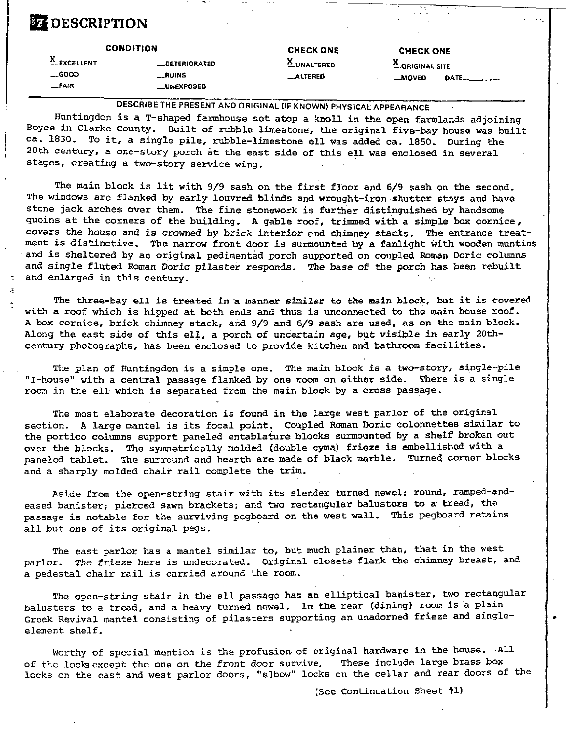# **EZ DESCRIPTION**

|                                             | <b>CONDITION</b>                                                 | <b>CHECK ONE</b>                        | <b>CHECK ONE</b>                         |        |
|---------------------------------------------|------------------------------------------------------------------|-----------------------------------------|------------------------------------------|--------|
| <b>LEXCELLENT</b><br>$\equiv$ GOOD<br>F A R | <b>LDETERIORATED</b><br>$\_RUNS$<br><b>__UNEXPOSED</b>           | $^{\circ}$ UNALTERED<br><b>_ALTERED</b> | <b>A ORIGINAL SITE</b><br><b>__MOVED</b> | DATE__ |
|                                             | DESCRIBE THE PRESENT AND ORIGINAL (IF KNOWN) PHYSICAL APPEARANCE |                                         |                                          |        |

Huntingdon is a T-shaped farmhouse set atop a knoll in the open farmlands adjoining Boyce in Clarke County. Built of rubble limestone, the original five-bay house was built ca. 1830. To it, a single pile, rubble-limestone ell was added ca. 1850. During the 20th century, a one-story porch at the east side of this ell was enclosed in several stages, creating a two-story service wing.

The main block is lit with 9/9 sash on the first floor and 6/9 sash on the second. The windows are flanked by early lowred blinds and wrought-iron shutter stays and have stone jack arches over them. The fine stonework is further distinguished by handsome guoins at the corners of the building. **A** gable roof, trimmed with a simple **box** cornice, covers the house and is crowned by brick interior end chimney stacks. The entrance treatment is distinctive. The narrow front door is surmounted by a fanlight with wooden muntins and is sheltered by an original pedimented porch supported on coupled Roman Doric columns and single fluted Roman Doric pilaster responds. The **base** of the porch has been rebuilt and enlarged in this century.

. The three-bay ell is treated in a manner similar to **the** main block, but it is covered with a roof which is hipped at both ends and thus is unconnected to the main house roof. A **box** cornice, brick chimney stack, and 9/9 and 6/9 sash are used, as on the main block. Along the east side of this ell, a porch of uncertain age, but visible in early **20th**century photographs, has been enclosed to provide kitchen and bathroom facilities.

The plan of Huntingdon is a simple one. The main block is a two-story, single-pile "I-house" with a central passage flanked by one room on either side. There is a single room in the ell which is separated from the main block by a cross passage.

The most elaborate decoration is found in the large west parlor of the original section. **A** large mantel is its focal point. Coupled Roman Doric colonnettes similar to the portico columns support paneled entablature blocks surmounted by a shelf broken out over the blocks. The symmetrically molded (double cyma) frieze is embellished with a<br>paneled tablet. The surround and bearth are made of black marble. Turned corner blocks paneled tablet. The surround and hearth are made of black marble. and a sharply molded chair rail complete the **trim.** 

Aside from the open-string stair with its slender turned newel; round, ramped-andeased banister; pierced sawn brackets; and two rectangular balusters to a tread, the passage is notable for the surviving pegboard on the west wall. This pegboard retains all but one of its original pegs.

The east parlor has a mantel similar to, but much plainer than, that in the west parlor. The frieze here is undecorated. Original closets flank the chimney breast, and a pedestal chair rail is carried around the room.

The open-string stair in the ell passage has an elliptical banister, two rectangular balusters to a tread, and a heavy turned newel. In the rear (dining) room is a plain Greek Revival mantel consisting of pilasters supporting an unadorned frieze and singleelement shelf.

Worthy of special mention is the profusion of original hardware in the house. All<br>e lock except the one on the front door survive. These include large brass box of the locks except the one on the front door survive. locks on the east and west parlor doors, "elbow" locks on the cellar and rear doors of the

(see Continuation Sheet #l)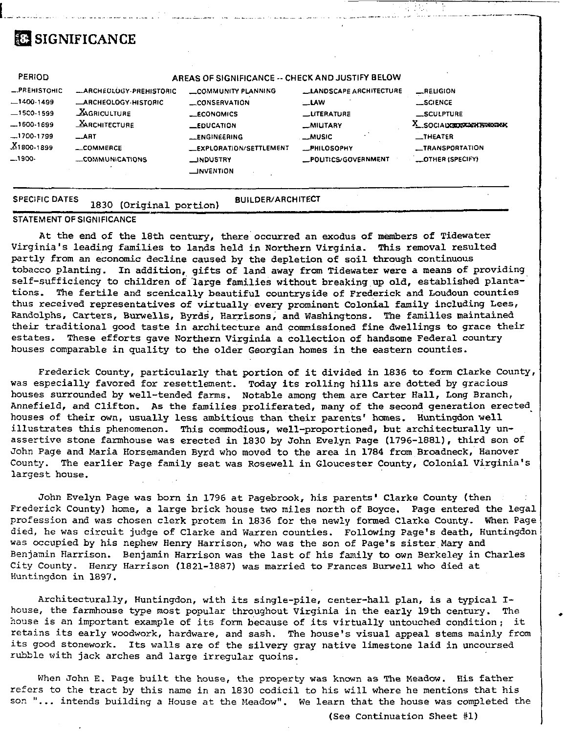# **SIGNIFICANCE**

| PERIOD                |                                | AREAS OF SIGNIFICANCE -- CHECK AND JUSTIFY BELOW      |                                |                          |
|-----------------------|--------------------------------|-------------------------------------------------------|--------------------------------|--------------------------|
| -PREHISTOHIC          | <b>LARCHEULUGY-PREHISTORIC</b> | <b>COMMUNITY PLANNING</b>                             | <b>LLANDSCAPE ARCHITECTURE</b> | RELIGION                 |
| $-1400.1499$          | <b>ARCHEOLOGY-HISTORIC</b>     | CONSERVATION                                          | <b>LLAW</b>                    | __SCIENCE                |
| $-1500-1599$          | <b>AGRICULTURE</b>             | $-CONOMICS$                                           | <b>LLITERATURE</b>             | SCULPTURE                |
| $-1600-1699$          | <b>ARCHITECTURE</b>            | $\_$ EDUCATION                                        | <b>MILITARY</b>                | X SOCIALXERTANY PINENTAL |
| -1700-1799            | $-$ ART                        | <b>LENGINEERING</b>                                   | $\sim$ MUSIC                   | $\blacksquare$ THEATER   |
| $X_{1800-1899}$       | _COMMERCE                      | <b>LEXPLORATION/SETTLEMENT</b>                        | <b>PHILOSOPHY</b>              | <b>__TRANSPORTATION</b>  |
| $-1900-$              | COMMUNICATIONS                 | <b>LINDUSTRY</b><br>$\overline{\phantom{a}}$ NVENTION | _POLITICS/GOVERNMENT           | <b>LOTHER (SPECIFY)</b>  |
| <b>SPECIFIC DATES</b> | (Original portion)<br>1830     | <b>BUILDER/ARCHITECT</b>                              |                                |                          |

## **STATEMENT OF SIGNIFICANCE**

At the end of the 18th century, there occurred an exodus of members of Tidewater Virginia's leading families to lands held in Northern Virginia. This removal resulted partly from an economic decline caused by the depletion of soil through continuous tobacco planting. In addition, gifts of land away from Tidewater were a means of providing self-sufficiency to children of large families without breaking up old, established plantations. The fertile and scenically beautiful countryside of Frederick and Loudoun counties thus received representatives of virtually every prominent Colonial family including Lees, Randolphs. Carters, Burwells, Byrds, Harrisons, and Washingtons. The families maintained their traditional good taste in architecture and commissioned fine dwellings to grace their estates. These efforts gave Northern Virginia a collection of handsome Federal country houses comparable in quality to the older Georgian homes in the eastern counties.

Frederick County, particularly that portion of it divided in 1836 to form Clarke County, was especially favored for resettlement. Today its rolling hills are dotted by gracious houses surrounded by well-tended farms. Notable among them are Carter Hall, Long Branch, Annefield, and Clifton. As the families proliferated, many of the second generation erected houses of their own, usually less ambitious than their parents' homes. Huntingdon well illustrates this phenomenon. This commodious, well-proportioned, but architecturally unassertive stone farmhouse was erected in 1830 by John Evelyn Page (1796-1881), third son of John Page and Maria Horsemanden Byrd who moved to the area in 1784 from Broadneck, Hanover County. The earlier Page family seat was Rosewell in Gloucester County, Colonial Virginia's largest house.

John Evelyn Page was born in 1796 at Pagebrook, his parents' Clarke County (then Frederick County) home, a large brick house two miles north of Boyce. Page entered the legal profession and was chosen clerk protem in 1836 for the newly formed Clarke County. When Page died, he was circuit judge of Clarke and Warren counties. Following Page's death, Huntingdon was occupied by his nephew Henry Harrison, who was the son of Page's sister Mary and Benjanin Harrison. Benjamin Harrison was the last of his family to own Berkeley in Charles City County. Henry Harrison (1821-1887) was married to Frances Burwell who died at Huntingdon in 1897.

Architecturally, Huntingdon, with its single-pile, center-hall plan, is a typical Ihouse, the farmhouse type most popular throughout Virginia in the early 19th century. The house is an important example of its form because of its virtually untouched condition; it retains its early woodwork, hardware, and sash. The house's visual appeal stems mainly from its good stonework. Its walls are of the silvery gray native limestone laid in uncoursed rubble with jack arches and large irregular quoins.

When John E. Page built the house, the property was known as The Meadow. His father refers to the tract by this name in an 1830 codicil to his will where he mentions that his son "... intends building a House at the Meadow". We learn that the house was completed the

(See Continuation Sheet #1)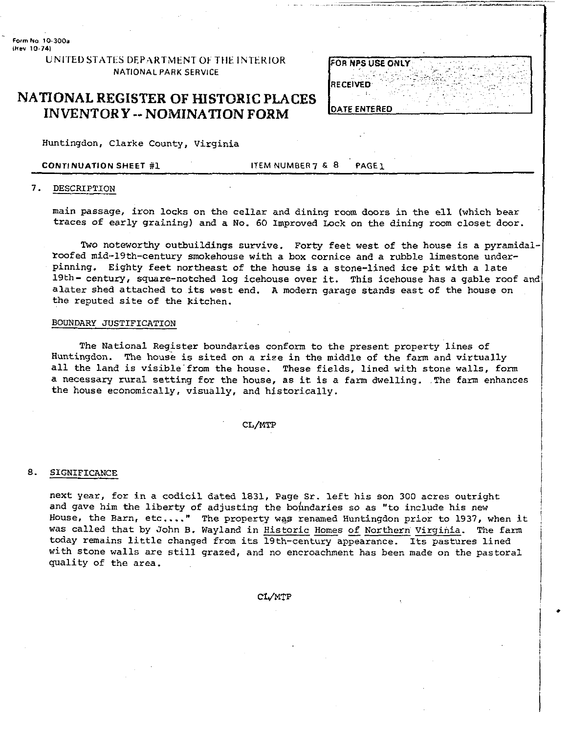**Farm No 10-300a Wev 10.741** 

> UNITED STATES DEPARTMENT OF THE INTERIOR NATIONAL PARK SERVICE

## **NATIONAL REGISTER OF HISTORIC PLACES INVENTORY** -- **NOMINATION FORM**

Huntingdon, Clarke County. Virginia

CONTINUATION SHEET #1 ITEM NUMBER 7 & 8 PAGE1

## 7. DESCRIPTION

main passage, iron locks on the cellar and dining room doors in the ell (which bear traces of early graining) and a No. 60 Improved Lock on the dining room closet door.

Two noteworthy outbuildings survive. Forty feet west of the house is a pyramidaltoofed mid-19th-century smokehouse with a box cornice and a rubble limestone underpinning. Eighty feet northeast of the house is a stone-lined ice pit with a late 19th- century, square-notched log icehouse over it. This icehouse has a gable roof and alater shed attached to its west end. **A** modern garage stands east of the house on the reputed site of the kitchen.

### BOUNDARY JUSTIFICATION

The National Register boundaries conform to the present property lines of Huntingdon. The house is sited on a rize in the middle of the farm and virtually all the land is visible'from the house. These fields, lined with stone walls, form a necessary rural setting for the house, as it is a farm dwelling. .The farm enhances the house economically, visually, and historically.

CL/MTP

## 8. SIGNIFICANCE

next year, for in a codicil dated 1831, Page Sr. left his son 300 acres outright and gave him the liberty of adjusting the boundaries so as "to include his new House, the Barn, etc,..." The property w@ renamed Huntingdon prior to 1937, when it was called that by John B. Wayland in Historic Homes of Northern Virginia. The farm today remains little changed from its 19th-century appearance. Its pastures lined with stone walls are still grazed, and no encroachment has been made on the pastoral quality of the area.

CL/MTP

FOR NPS USE ONLY RECEIVED **OATE ENTERED**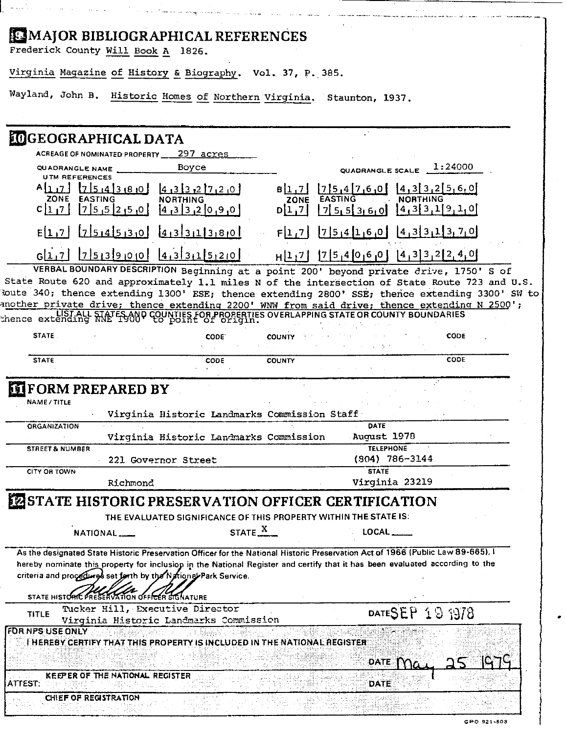# MAJOR BIBLIOGRAPHICAL REFERENCES

Frederick County Will Book A 1826.

المتعاصم والمتحادين والمتحدث والمتحدث

المناسبة المناسب

Virginia Magazine of History & Biography. Vol. 37, P. 385.

Wayland, John B. Historic Homes of Northern Virginia. Staunton, 1937.

المالية الأمريكية.<br>تقاضي الأمريكية المركزية

موكبين بويد مستناسات المتعاصم المساحينات

| <b>IDGEOGRAPHICAL DATA</b><br>ACREAGE OF NOMINATED PROPERTY 297 acres<br>1:24000<br>Boyce<br>QUADRANGLE NAME<br>QUADRANGLE SCALE<br><b>UTM REFERENCES</b><br>17.5.4.3.8.0<br>4,3[3,2[5,6,0]<br>75,47,6,0<br>4,3332720<br>B[1,7]<br><b>NORTHING</b><br>ZONE EASTING<br><b>NORTHING</b><br><b>EASTING</b><br>ZONE<br>[4,3]3,1]9,10<br> 7 5 5 2 5 0 <br>9,9,12<br>C 1 7<br>D[1,7]<br>75.5360<br>$\left[4,3\right]3,1\left[3,7,0\right]$<br>754530<br> 7 5 4 1 6 0 <br>E[1,7]<br>$4,3\overline{3}113,80$<br>F 1,7 <br>$7513900$ $413311520$<br>[4,3]3,2[2,4,0]<br>$[7]5,4[0,6]0]$<br>G[1, 7]<br>H[1,7]<br>VERBAL BOUNDARY DESCRIPTION Beginning at a point 200' beyond private drive, 1750' S of<br>State Route 620 and approximately 1.1 miles N of the intersection of State Route 723 and U.S.<br>Route 340; thence extending 1300' ESE; thence extending 2800' SSE; thence extending 3300' SW to<br>another private drive; thence extending 2200' WNW from said drive; thence extending N 2500';<br>thence extending MAFFSAND COUNTIES FOR PROPERTIES OVERLAPPING STATE OR COUNTY BOUNDARIES<br>STATE.<br><b>CODE</b><br><b>CODE</b><br><b>COUNTY</b><br>CODE<br><b>STATE</b><br>CODE<br><b>COUNTY</b><br><b>FORM PREPARED BY</b><br>NAME / TITLE<br>Virginia Historic Landmarks Commission Staff<br>DATE<br><b>ORGANIZATION</b><br>August 1978<br>Virginia Historic Landmarks Commission<br><b>TELEPHONE</b><br><b>STREET &amp; NUMBER</b><br>$(904)$ 786-3144<br>221 Governor Street<br><b>STATE</b><br><b>CITY OR TOWN</b><br>Virginia 23219<br>Richmond<br>ESTATE HISTORIC PRESERVATION OFFICER CERTIFICATION<br>THE EVALUATED SIGNIFICANCE OF THIS PROPERTY WITHIN THE STATE IS:<br>STATE <sup>X</sup><br><b>LOCAL</b><br><b>NATIONAL</b><br>As the designated State Historic Preservation Officer for the National Historic Preservation Act of 1966 (Public Law 89-665). I<br>hereby nominate this property for inclusion in the National Register and certify that it has been evaluated according to the<br>criteria and procedures set forth by the National Park Service.<br>STATE HISTO!<br>CER SIGNATURE<br>Tucker Hill, Executive Director<br>DATESEP 19 1978<br><b>TITLE</b><br>Virginia Historic Landmarks Commission<br>FOR NPS USE ONLY<br>THEREBY CERTIFY THAT THIS PROPERTY IS INCLUDED IN THE NATIONAL REGISTER<br><b>DATE</b><br>KEEPER OF THE NATIONAL REGISTER<br>ATTEST:<br><b>DATE</b><br>CHIEF OF REGISTRATION |  |  |  |  |  |
|-------------------------------------------------------------------------------------------------------------------------------------------------------------------------------------------------------------------------------------------------------------------------------------------------------------------------------------------------------------------------------------------------------------------------------------------------------------------------------------------------------------------------------------------------------------------------------------------------------------------------------------------------------------------------------------------------------------------------------------------------------------------------------------------------------------------------------------------------------------------------------------------------------------------------------------------------------------------------------------------------------------------------------------------------------------------------------------------------------------------------------------------------------------------------------------------------------------------------------------------------------------------------------------------------------------------------------------------------------------------------------------------------------------------------------------------------------------------------------------------------------------------------------------------------------------------------------------------------------------------------------------------------------------------------------------------------------------------------------------------------------------------------------------------------------------------------------------------------------------------------------------------------------------------------------------------------------------------------------------------------------------------------------------------------------------------------------------------------------------------------------------------------------------------------------------------------------------------------------------------------------------------------------------------------------------------------------------------------------------------------------------------------------------------------------------------|--|--|--|--|--|
|                                                                                                                                                                                                                                                                                                                                                                                                                                                                                                                                                                                                                                                                                                                                                                                                                                                                                                                                                                                                                                                                                                                                                                                                                                                                                                                                                                                                                                                                                                                                                                                                                                                                                                                                                                                                                                                                                                                                                                                                                                                                                                                                                                                                                                                                                                                                                                                                                                           |  |  |  |  |  |
|                                                                                                                                                                                                                                                                                                                                                                                                                                                                                                                                                                                                                                                                                                                                                                                                                                                                                                                                                                                                                                                                                                                                                                                                                                                                                                                                                                                                                                                                                                                                                                                                                                                                                                                                                                                                                                                                                                                                                                                                                                                                                                                                                                                                                                                                                                                                                                                                                                           |  |  |  |  |  |
|                                                                                                                                                                                                                                                                                                                                                                                                                                                                                                                                                                                                                                                                                                                                                                                                                                                                                                                                                                                                                                                                                                                                                                                                                                                                                                                                                                                                                                                                                                                                                                                                                                                                                                                                                                                                                                                                                                                                                                                                                                                                                                                                                                                                                                                                                                                                                                                                                                           |  |  |  |  |  |
|                                                                                                                                                                                                                                                                                                                                                                                                                                                                                                                                                                                                                                                                                                                                                                                                                                                                                                                                                                                                                                                                                                                                                                                                                                                                                                                                                                                                                                                                                                                                                                                                                                                                                                                                                                                                                                                                                                                                                                                                                                                                                                                                                                                                                                                                                                                                                                                                                                           |  |  |  |  |  |
|                                                                                                                                                                                                                                                                                                                                                                                                                                                                                                                                                                                                                                                                                                                                                                                                                                                                                                                                                                                                                                                                                                                                                                                                                                                                                                                                                                                                                                                                                                                                                                                                                                                                                                                                                                                                                                                                                                                                                                                                                                                                                                                                                                                                                                                                                                                                                                                                                                           |  |  |  |  |  |
|                                                                                                                                                                                                                                                                                                                                                                                                                                                                                                                                                                                                                                                                                                                                                                                                                                                                                                                                                                                                                                                                                                                                                                                                                                                                                                                                                                                                                                                                                                                                                                                                                                                                                                                                                                                                                                                                                                                                                                                                                                                                                                                                                                                                                                                                                                                                                                                                                                           |  |  |  |  |  |
|                                                                                                                                                                                                                                                                                                                                                                                                                                                                                                                                                                                                                                                                                                                                                                                                                                                                                                                                                                                                                                                                                                                                                                                                                                                                                                                                                                                                                                                                                                                                                                                                                                                                                                                                                                                                                                                                                                                                                                                                                                                                                                                                                                                                                                                                                                                                                                                                                                           |  |  |  |  |  |
|                                                                                                                                                                                                                                                                                                                                                                                                                                                                                                                                                                                                                                                                                                                                                                                                                                                                                                                                                                                                                                                                                                                                                                                                                                                                                                                                                                                                                                                                                                                                                                                                                                                                                                                                                                                                                                                                                                                                                                                                                                                                                                                                                                                                                                                                                                                                                                                                                                           |  |  |  |  |  |
|                                                                                                                                                                                                                                                                                                                                                                                                                                                                                                                                                                                                                                                                                                                                                                                                                                                                                                                                                                                                                                                                                                                                                                                                                                                                                                                                                                                                                                                                                                                                                                                                                                                                                                                                                                                                                                                                                                                                                                                                                                                                                                                                                                                                                                                                                                                                                                                                                                           |  |  |  |  |  |
|                                                                                                                                                                                                                                                                                                                                                                                                                                                                                                                                                                                                                                                                                                                                                                                                                                                                                                                                                                                                                                                                                                                                                                                                                                                                                                                                                                                                                                                                                                                                                                                                                                                                                                                                                                                                                                                                                                                                                                                                                                                                                                                                                                                                                                                                                                                                                                                                                                           |  |  |  |  |  |
|                                                                                                                                                                                                                                                                                                                                                                                                                                                                                                                                                                                                                                                                                                                                                                                                                                                                                                                                                                                                                                                                                                                                                                                                                                                                                                                                                                                                                                                                                                                                                                                                                                                                                                                                                                                                                                                                                                                                                                                                                                                                                                                                                                                                                                                                                                                                                                                                                                           |  |  |  |  |  |
|                                                                                                                                                                                                                                                                                                                                                                                                                                                                                                                                                                                                                                                                                                                                                                                                                                                                                                                                                                                                                                                                                                                                                                                                                                                                                                                                                                                                                                                                                                                                                                                                                                                                                                                                                                                                                                                                                                                                                                                                                                                                                                                                                                                                                                                                                                                                                                                                                                           |  |  |  |  |  |
|                                                                                                                                                                                                                                                                                                                                                                                                                                                                                                                                                                                                                                                                                                                                                                                                                                                                                                                                                                                                                                                                                                                                                                                                                                                                                                                                                                                                                                                                                                                                                                                                                                                                                                                                                                                                                                                                                                                                                                                                                                                                                                                                                                                                                                                                                                                                                                                                                                           |  |  |  |  |  |
|                                                                                                                                                                                                                                                                                                                                                                                                                                                                                                                                                                                                                                                                                                                                                                                                                                                                                                                                                                                                                                                                                                                                                                                                                                                                                                                                                                                                                                                                                                                                                                                                                                                                                                                                                                                                                                                                                                                                                                                                                                                                                                                                                                                                                                                                                                                                                                                                                                           |  |  |  |  |  |
|                                                                                                                                                                                                                                                                                                                                                                                                                                                                                                                                                                                                                                                                                                                                                                                                                                                                                                                                                                                                                                                                                                                                                                                                                                                                                                                                                                                                                                                                                                                                                                                                                                                                                                                                                                                                                                                                                                                                                                                                                                                                                                                                                                                                                                                                                                                                                                                                                                           |  |  |  |  |  |
|                                                                                                                                                                                                                                                                                                                                                                                                                                                                                                                                                                                                                                                                                                                                                                                                                                                                                                                                                                                                                                                                                                                                                                                                                                                                                                                                                                                                                                                                                                                                                                                                                                                                                                                                                                                                                                                                                                                                                                                                                                                                                                                                                                                                                                                                                                                                                                                                                                           |  |  |  |  |  |
|                                                                                                                                                                                                                                                                                                                                                                                                                                                                                                                                                                                                                                                                                                                                                                                                                                                                                                                                                                                                                                                                                                                                                                                                                                                                                                                                                                                                                                                                                                                                                                                                                                                                                                                                                                                                                                                                                                                                                                                                                                                                                                                                                                                                                                                                                                                                                                                                                                           |  |  |  |  |  |
|                                                                                                                                                                                                                                                                                                                                                                                                                                                                                                                                                                                                                                                                                                                                                                                                                                                                                                                                                                                                                                                                                                                                                                                                                                                                                                                                                                                                                                                                                                                                                                                                                                                                                                                                                                                                                                                                                                                                                                                                                                                                                                                                                                                                                                                                                                                                                                                                                                           |  |  |  |  |  |
|                                                                                                                                                                                                                                                                                                                                                                                                                                                                                                                                                                                                                                                                                                                                                                                                                                                                                                                                                                                                                                                                                                                                                                                                                                                                                                                                                                                                                                                                                                                                                                                                                                                                                                                                                                                                                                                                                                                                                                                                                                                                                                                                                                                                                                                                                                                                                                                                                                           |  |  |  |  |  |
|                                                                                                                                                                                                                                                                                                                                                                                                                                                                                                                                                                                                                                                                                                                                                                                                                                                                                                                                                                                                                                                                                                                                                                                                                                                                                                                                                                                                                                                                                                                                                                                                                                                                                                                                                                                                                                                                                                                                                                                                                                                                                                                                                                                                                                                                                                                                                                                                                                           |  |  |  |  |  |
|                                                                                                                                                                                                                                                                                                                                                                                                                                                                                                                                                                                                                                                                                                                                                                                                                                                                                                                                                                                                                                                                                                                                                                                                                                                                                                                                                                                                                                                                                                                                                                                                                                                                                                                                                                                                                                                                                                                                                                                                                                                                                                                                                                                                                                                                                                                                                                                                                                           |  |  |  |  |  |
|                                                                                                                                                                                                                                                                                                                                                                                                                                                                                                                                                                                                                                                                                                                                                                                                                                                                                                                                                                                                                                                                                                                                                                                                                                                                                                                                                                                                                                                                                                                                                                                                                                                                                                                                                                                                                                                                                                                                                                                                                                                                                                                                                                                                                                                                                                                                                                                                                                           |  |  |  |  |  |
|                                                                                                                                                                                                                                                                                                                                                                                                                                                                                                                                                                                                                                                                                                                                                                                                                                                                                                                                                                                                                                                                                                                                                                                                                                                                                                                                                                                                                                                                                                                                                                                                                                                                                                                                                                                                                                                                                                                                                                                                                                                                                                                                                                                                                                                                                                                                                                                                                                           |  |  |  |  |  |